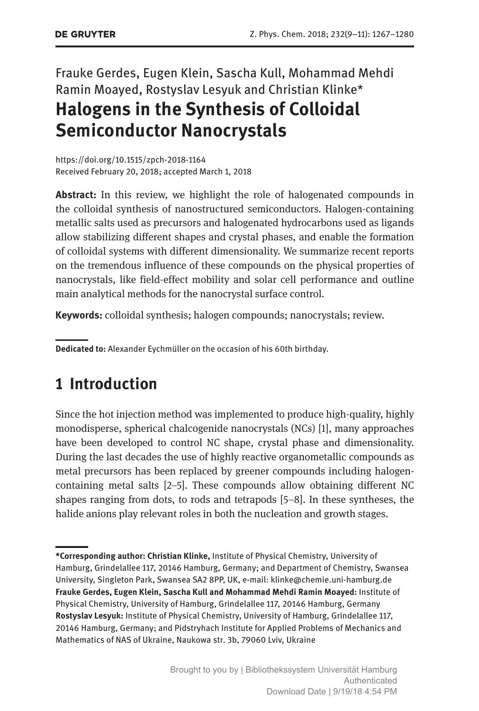## Frauke Gerdes, Eugen Klein, Sascha Kull, Mohammad Mehdi Ramin Moayed, Rostyslav Lesyuk and Christian Klinke\* **Halogens in the Synthesis of Colloidal Semiconductor Nanocrystals**

<https://doi.org/10.1515/zpch-2018-1164> Received February 20, 2018; accepted March 1, 2018

**Abstract:** In this review, we highlight the role of halogenated compounds in the colloidal synthesis of nanostructured semiconductors. Halogen-containing metallic salts used as precursors and halogenated hydrocarbons used as ligands allow stabilizing different shapes and crystal phases, and enable the formation of colloidal systems with different dimensionality. We summarize recent reports on the tremendous influence of these compounds on the physical properties of nanocrystals, like field-effect mobility and solar cell performance and outline main analytical methods for the nanocrystal surface control.

**Keywords:** colloidal synthesis; halogen compounds; nanocrystals; review.

**Dedicated to:** Alexander Eychmüller on the occasion of his 60th birthday.

# **1 Introduction**

Since the hot injection method was implemented to produce high-quality, highly monodisperse, spherical chalcogenide nanocrystals (NCs) [1], many approaches have been developed to control NC shape, crystal phase and dimensionality. During the last decades the use of highly reactive organometallic compounds as metal precursors has been replaced by greener compounds including halogencontaining metal salts [2–5]. These compounds allow obtaining different NC shapes ranging from dots, to rods and tetrapods [5–8]. In these syntheses, the halide anions play relevant roles in both the nucleation and growth stages.

**<sup>\*</sup>Corresponding author: Christian Klinke,** Institute of Physical Chemistry, University of Hamburg, Grindelallee 117, 20146 Hamburg, Germany; and Department of Chemistry, Swansea University, Singleton Park, Swansea SA2 8PP, UK, e-mail: [klinke@chemie.uni-hamburg.de](mailto:klinke@chemie.uni-hamburg.de) **Frauke Gerdes, Eugen Klein, Sascha Kull and Mohammad Mehdi Ramin Moayed:** Institute of Physical Chemistry, University of Hamburg, Grindelallee 117, 20146 Hamburg, Germany **Rostyslav Lesyuk:** Institute of Physical Chemistry, University of Hamburg, Grindelallee 117, 20146 Hamburg, Germany; and Pidstryhach Institute for Applied Problems of Mechanics and Mathematics of NAS of Ukraine, Naukowa str. 3b, 79060 Lviv, Ukraine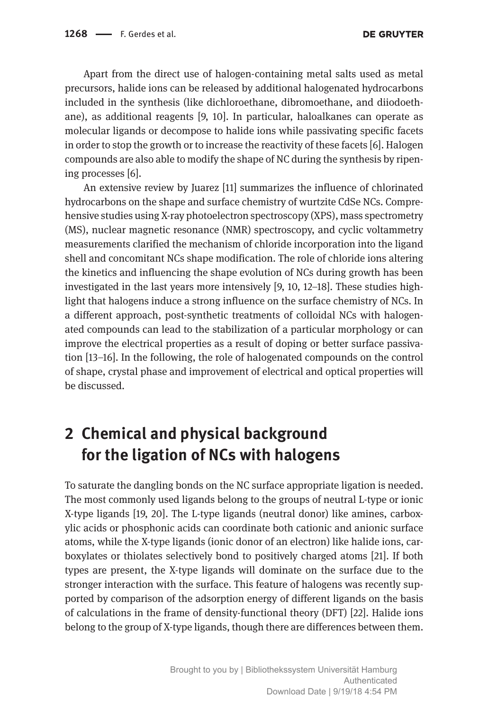Apart from the direct use of halogen-containing metal salts used as metal precursors, halide ions can be released by additional halogenated hydrocarbons included in the synthesis (like dichloroethane, dibromoethane, and diiodoethane), as additional reagents [9, 10]. In particular, haloalkanes can operate as molecular ligands or decompose to halide ions while passivating specific facets in order to stop the growth or to increase the reactivity of these facets [6]. Halogen compounds are also able to modify the shape of NC during the synthesis by ripening processes [6].

An extensive review by Juarez [11] summarizes the influence of chlorinated hydrocarbons on the shape and surface chemistry of wurtzite CdSe NCs. Comprehensive studies using X-ray photoelectron spectroscopy (XPS), mass spectrometry (MS), nuclear magnetic resonance (NMR) spectroscopy, and cyclic voltammetry measurements clarified the mechanism of chloride incorporation into the ligand shell and concomitant NCs shape modification. The role of chloride ions altering the kinetics and influencing the shape evolution of NCs during growth has been investigated in the last years more intensively [9, 10, 12–18]. These studies highlight that halogens induce a strong influence on the surface chemistry of NCs. In a different approach, post-synthetic treatments of colloidal NCs with halogenated compounds can lead to the stabilization of a particular morphology or can improve the electrical properties as a result of doping or better surface passivation [13–16]. In the following, the role of halogenated compounds on the control of shape, crystal phase and improvement of electrical and optical properties will be discussed.

# **2 Chemical and physical background for the ligation of NCs with halogens**

To saturate the dangling bonds on the NC surface appropriate ligation is needed. The most commonly used ligands belong to the groups of neutral L-type or ionic X-type ligands [19, 20]. The L-type ligands (neutral donor) like amines, carboxylic acids or phosphonic acids can coordinate both cationic and anionic surface atoms, while the X-type ligands (ionic donor of an electron) like halide ions, carboxylates or thiolates selectively bond to positively charged atoms [21]. If both types are present, the X-type ligands will dominate on the surface due to the stronger interaction with the surface. This feature of halogens was recently supported by comparison of the adsorption energy of different ligands on the basis of calculations in the frame of density-functional theory (DFT) [22]. Halide ions belong to the group of X-type ligands, though there are differences between them.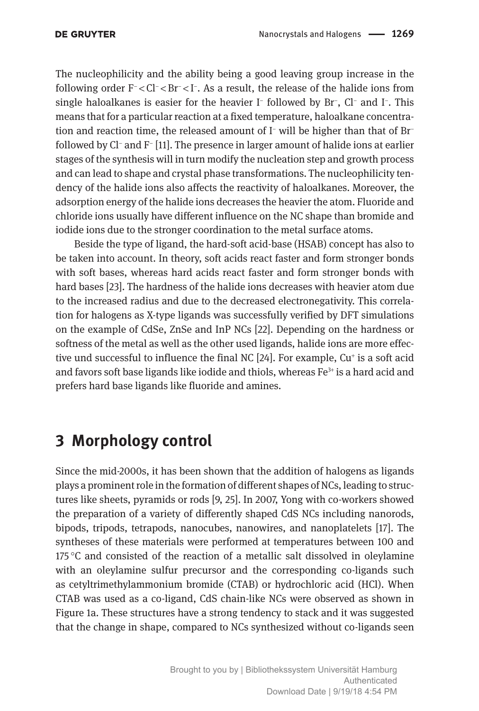The nucleophilicity and the ability being a good leaving group increase in the following order F− < Cl− < Br− < I−. As a result, the release of the halide ions from single haloalkanes is easier for the heavier I− followed by Br−, Cl− and I−. This means that for a particular reaction at a fixed temperature, haloalkane concentration and reaction time, the released amount of I− will be higher than that of Br− followed by Cl− and F− [11]. The presence in larger amount of halide ions at earlier stages of the synthesis will in turn modify the nucleation step and growth process and can lead to shape and crystal phase transformations. The nucleophilicity tendency of the halide ions also affects the reactivity of haloalkanes. Moreover, the adsorption energy of the halide ions decreases the heavier the atom. Fluoride and chloride ions usually have different influence on the NC shape than bromide and iodide ions due to the stronger coordination to the metal surface atoms.

Beside the type of ligand, the hard-soft acid-base (HSAB) concept has also to be taken into account. In theory, soft acids react faster and form stronger bonds with soft bases, whereas hard acids react faster and form stronger bonds with hard bases [23]. The hardness of the halide ions decreases with heavier atom due to the increased radius and due to the decreased electronegativity. This correlation for halogens as X-type ligands was successfully verified by DFT simulations on the example of CdSe, ZnSe and InP NCs [22]. Depending on the hardness or softness of the metal as well as the other used ligands, halide ions are more effective und successful to influence the final NC [24]. For example, Cu<sup>+</sup> is a soft acid and favors soft base ligands like iodide and thiols, whereas Fe3<sup>+</sup> is a hard acid and prefers hard base ligands like fluoride and amines.

## **3 Morphology control**

Since the mid-2000s, it has been shown that the addition of halogens as ligands plays a prominent role in the formation of different shapes of NCs, leading to structures like sheets, pyramids or rods [9, 25]. In 2007, Yong with co-workers showed the preparation of a variety of differently shaped CdS NCs including nanorods, bipods, tripods, tetrapods, nanocubes, nanowires, and nanoplatelets [17]. The syntheses of these materials were performed at temperatures between 100 and 175 °C and consisted of the reaction of a metallic salt dissolved in oleylamine with an oleylamine sulfur precursor and the corresponding co-ligands such as cetyltrimethylammonium bromide (CTAB) or hydrochloric acid (HCl). When CTAB was used as a co-ligand, CdS chain-like NCs were observed as shown in Figure 1a. These structures have a strong tendency to stack and it was suggested that the change in shape, compared to NCs synthesized without co-ligands seen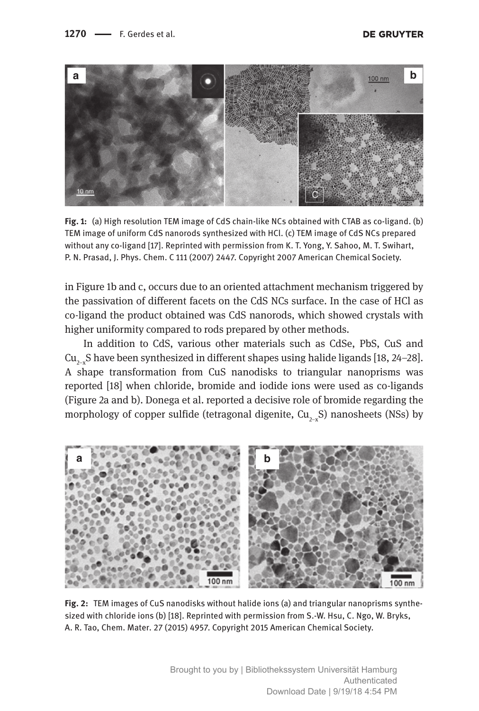

**Fig. 1:** (a) High resolution TEM image of CdS chain-like NCs obtained with CTAB as co-ligand. (b) TEM image of uniform CdS nanorods synthesized with HCl. (c) TEM image of CdS NCs prepared without any co-ligand [17]. Reprinted with permission from K. T. Yong, Y. Sahoo, M. T. Swihart, P. N. Prasad, J. Phys. Chem. C 111 (2007) 2447. Copyright 2007 American Chemical Society.

in Figure 1b and c, occurs due to an oriented attachment mechanism triggered by the passivation of different facets on the CdS NCs surface. In the case of HCl as co-ligand the product obtained was CdS nanorods, which showed crystals with higher uniformity compared to rods prepared by other methods.

In addition to CdS, various other materials such as CdSe, PbS, CuS and Cu<sub>2</sub>  $\mu$ S have been synthesized in different shapes using halide ligands [18, 24–28]. A shape transformation from CuS nanodisks to triangular nanoprisms was reported [18] when chloride, bromide and iodide ions were used as co-ligands (Figure 2a and b). Donega et al. reported a decisive role of bromide regarding the morphology of copper sulfide (tetragonal digenite, Cu<sub>2→x</sub>S) nanosheets (NSs) by



**Fig. 2:** TEM images of CuS nanodisks without halide ions (a) and triangular nanoprisms synthesized with chloride ions (b) [18]. Reprinted with permission from S.-W. Hsu, C. Ngo, W. Bryks, A. R. Tao, Chem. Mater. 27 (2015) 4957. Copyright 2015 American Chemical Society.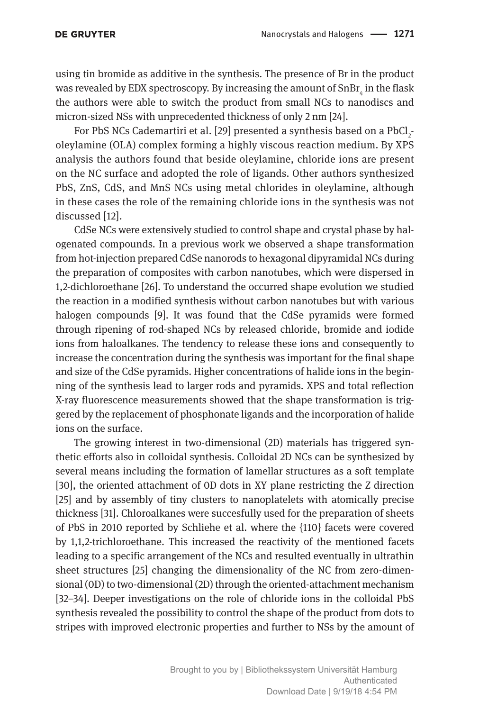using tin bromide as additive in the synthesis. The presence of Br in the product was revealed by EDX spectroscopy. By increasing the amount of SnBr $_{\textrm{\tiny{4}}}$  in the flask the authors were able to switch the product from small NCs to nanodiscs and micron-sized NSs with unprecedented thickness of only 2 nm [24].

For PbS NCs Cademartiri et al. [29] presented a synthesis based on a PbCl $_2^{\, -}$ oleylamine (OLA) complex forming a highly viscous reaction medium. By XPS analysis the authors found that beside oleylamine, chloride ions are present on the NC surface and adopted the role of ligands. Other authors synthesized PbS, ZnS, CdS, and MnS NCs using metal chlorides in oleylamine, although in these cases the role of the remaining chloride ions in the synthesis was not discussed [12].

CdSe NCs were extensively studied to control shape and crystal phase by halogenated compounds. In a previous work we observed a shape transformation from hot-injection prepared CdSe nanorods to hexagonal dipyramidal NCs during the preparation of composites with carbon nanotubes, which were dispersed in 1,2-dichloroethane [26]. To understand the occurred shape evolution we studied the reaction in a modified synthesis without carbon nanotubes but with various halogen compounds [9]. It was found that the CdSe pyramids were formed through ripening of rod-shaped NCs by released chloride, bromide and iodide ions from haloalkanes. The tendency to release these ions and consequently to increase the concentration during the synthesis was important for the final shape and size of the CdSe pyramids. Higher concentrations of halide ions in the beginning of the synthesis lead to larger rods and pyramids. XPS and total reflection X-ray fluorescence measurements showed that the shape transformation is triggered by the replacement of phosphonate ligands and the incorporation of halide ions on the surface.

The growing interest in two-dimensional (2D) materials has triggered synthetic efforts also in colloidal synthesis. Colloidal 2D NCs can be synthesized by several means including the formation of lamellar structures as a soft template [30], the oriented attachment of 0D dots in XY plane restricting the Z direction [25] and by assembly of tiny clusters to nanoplatelets with atomically precise thickness [31]. Chloroalkanes were succesfully used for the preparation of sheets of PbS in 2010 reported by Schliehe et al. where the {110} facets were covered by 1,1,2-trichloroethane. This increased the reactivity of the mentioned facets leading to a specific arrangement of the NCs and resulted eventually in ultrathin sheet structures [25] changing the dimensionality of the NC from zero-dimensional (0D) to two-dimensional (2D) through the oriented-attachment mechanism [32–34]. Deeper investigations on the role of chloride ions in the colloidal PbS synthesis revealed the possibility to control the shape of the product from dots to stripes with improved electronic properties and further to NSs by the amount of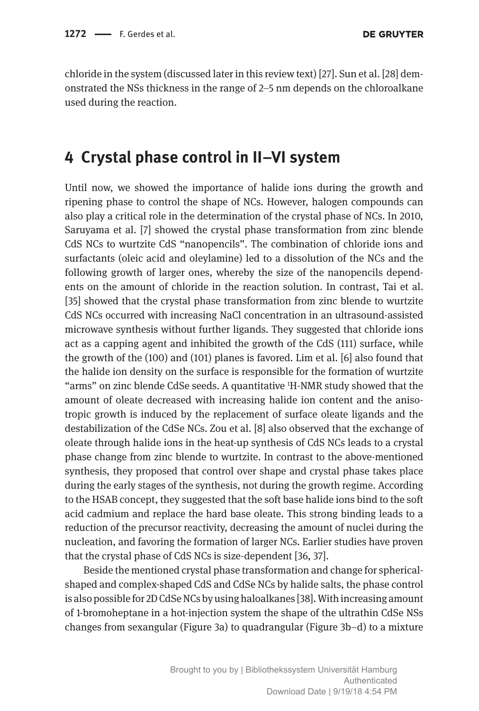**DE GRUYTER** 

chloride in the system (discussed later in this review text) [27]. Sun et al. [28] demonstrated the NSs thickness in the range of 2–5 nm depends on the chloroalkane used during the reaction.

#### **4 Crystal phase control in II–VI system**

Until now, we showed the importance of halide ions during the growth and ripening phase to control the shape of NCs. However, halogen compounds can also play a critical role in the determination of the crystal phase of NCs. In 2010, Saruyama et al. [7] showed the crystal phase transformation from zinc blende CdS NCs to wurtzite CdS "nanopencils". The combination of chloride ions and surfactants (oleic acid and oleylamine) led to a dissolution of the NCs and the following growth of larger ones, whereby the size of the nanopencils dependents on the amount of chloride in the reaction solution. In contrast, Tai et al. [35] showed that the crystal phase transformation from zinc blende to wurtzite CdS NCs occurred with increasing NaCl concentration in an ultrasound-assisted microwave synthesis without further ligands. They suggested that chloride ions act as a capping agent and inhibited the growth of the CdS (111) surface, while the growth of the (100) and (101) planes is favored. Lim et al. [6] also found that the halide ion density on the surface is responsible for the formation of wurtzite "arms" on zinc blende CdSe seeds. A quantitative 1 H-NMR study showed that the amount of oleate decreased with increasing halide ion content and the anisotropic growth is induced by the replacement of surface oleate ligands and the destabilization of the CdSe NCs. Zou et al. [8] also observed that the exchange of oleate through halide ions in the heat-up synthesis of CdS NCs leads to a crystal phase change from zinc blende to wurtzite. In contrast to the above-mentioned synthesis, they proposed that control over shape and crystal phase takes place during the early stages of the synthesis, not during the growth regime. According to the HSAB concept, they suggested that the soft base halide ions bind to the soft acid cadmium and replace the hard base oleate. This strong binding leads to a reduction of the precursor reactivity, decreasing the amount of nuclei during the nucleation, and favoring the formation of larger NCs. Earlier studies have proven that the crystal phase of CdS NCs is size-dependent [36, 37].

Beside the mentioned crystal phase transformation and change for sphericalshaped and complex-shaped CdS and CdSe NCs by halide salts, the phase control is also possible for 2D CdSe NCs by using haloalkanes [38]. With increasing amount of 1-bromoheptane in a hot-injection system the shape of the ultrathin CdSe NSs changes from sexangular (Figure 3a) to quadrangular (Figure 3b−d) to a mixture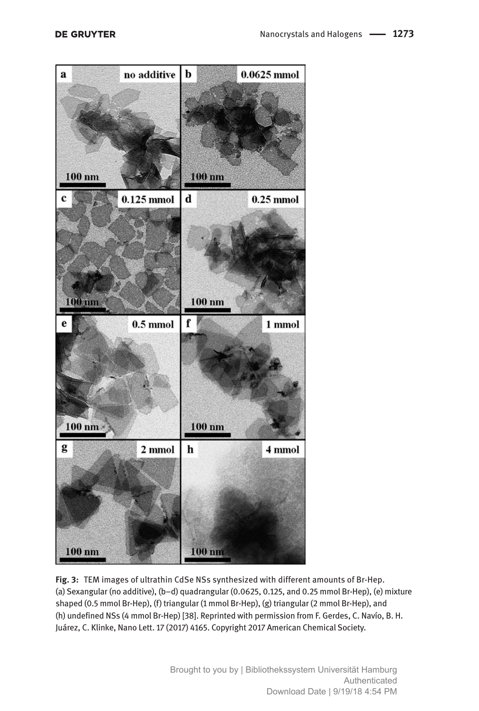

**Fig. 3:** TEM images of ultrathin CdSe NSs synthesized with different amounts of Br-Hep. (a) Sexangular (no additive), (b−d) quadrangular (0.0625, 0.125, and 0.25 mmol Br-Hep), (e) mixture shaped (0.5 mmol Br-Hep), (f) triangular (1 mmol Br-Hep), (g) triangular (2 mmol Br-Hep), and (h) undefined NSs (4 mmol Br-Hep) [38]. Reprinted with permission from F. Gerdes, C. Navío, B. H. Juárez, C. Klinke, Nano Lett. 17 (2017) 4165. Copyright 2017 American Chemical Society.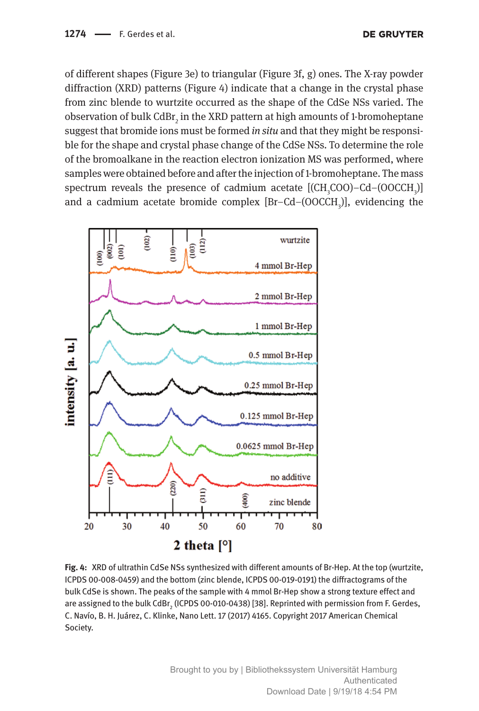of different shapes (Figure 3e) to triangular (Figure 3f, g) ones. The X-ray powder diffraction (XRD) patterns (Figure 4) indicate that a change in the crystal phase from zinc blende to wurtzite occurred as the shape of the CdSe NSs varied. The observation of bulk  $\mathrm{CdBr}_2$  in the XRD pattern at high amounts of 1-bromoheptane suggest that bromide ions must be formed *in situ* and that they might be responsible for the shape and crystal phase change of the CdSe NSs. To determine the role of the bromoalkane in the reaction electron ionization MS was performed, where samples were obtained before and after the injection of 1-bromoheptane. The mass spectrum reveals the presence of cadmium acetate  $[(\text{CH}_{\text{3}}\text{COO})-\text{Cd}-(\text{OOCCH}_{\text{3}})]$ and a cadmium acetate bromide complex  $[\text{Br--Cd--(OOCCH}_{3})]$ , evidencing the



**Fig. 4:** XRD of ultrathin CdSe NSs synthesized with different amounts of Br-Hep. At the top (wurtzite, ICPDS 00-008-0459) and the bottom (zinc blende, ICPDS 00-019-0191) the diffractograms of the bulk CdSe is shown. The peaks of the sample with 4 mmol Br-Hep show a strong texture effect and are assigned to the bulk CdBr $_{\textrm{\tiny{2}}}$  (ICPDS 00-010-0438) [38]. Reprinted with permission from F. Gerdes, C. Navío, B. H. Juárez, C. Klinke, Nano Lett. 17 (2017) 4165. Copyright 2017 American Chemical Society.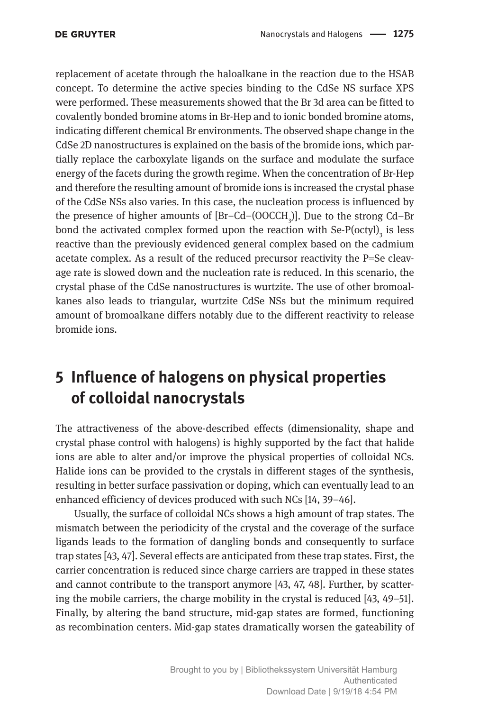replacement of acetate through the haloalkane in the reaction due to the HSAB concept. To determine the active species binding to the CdSe NS surface XPS were performed. These measurements showed that the Br 3d area can be fitted to covalently bonded bromine atoms in Br-Hep and to ionic bonded bromine atoms, indicating different chemical Br environments. The observed shape change in the CdSe 2D nanostructures is explained on the basis of the bromide ions, which partially replace the carboxylate ligands on the surface and modulate the surface energy of the facets during the growth regime. When the concentration of Br-Hep and therefore the resulting amount of bromide ions is increased the crystal phase of the CdSe NSs also varies. In this case, the nucleation process is influenced by the presence of higher amounts of  $[Br-Cd-(OOCCH<sub>3</sub>)]$ . Due to the strong Cd–Br bond the activated complex formed upon the reaction with  $Se-P(octyl)$ <sub>3</sub> is less reactive than the previously evidenced general complex based on the cadmium acetate complex. As a result of the reduced precursor reactivity the P=Se cleavage rate is slowed down and the nucleation rate is reduced. In this scenario, the crystal phase of the CdSe nanostructures is wurtzite. The use of other bromoalkanes also leads to triangular, wurtzite CdSe NSs but the minimum required amount of bromoalkane differs notably due to the different reactivity to release bromide ions.

# **5 Influence of halogens on physical properties of colloidal nanocrystals**

The attractiveness of the above-described effects (dimensionality, shape and crystal phase control with halogens) is highly supported by the fact that halide ions are able to alter and/or improve the physical properties of colloidal NCs. Halide ions can be provided to the crystals in different stages of the synthesis, resulting in better surface passivation or doping, which can eventually lead to an enhanced efficiency of devices produced with such NCs [14, 39–46].

Usually, the surface of colloidal NCs shows a high amount of trap states. The mismatch between the periodicity of the crystal and the coverage of the surface ligands leads to the formation of dangling bonds and consequently to surface trap states [43, 47]. Several effects are anticipated from these trap states. First, the carrier concentration is reduced since charge carriers are trapped in these states and cannot contribute to the transport anymore [43, 47, 48]. Further, by scattering the mobile carriers, the charge mobility in the crystal is reduced [43, 49–51]. Finally, by altering the band structure, mid-gap states are formed, functioning as recombination centers. Mid-gap states dramatically worsen the gateability of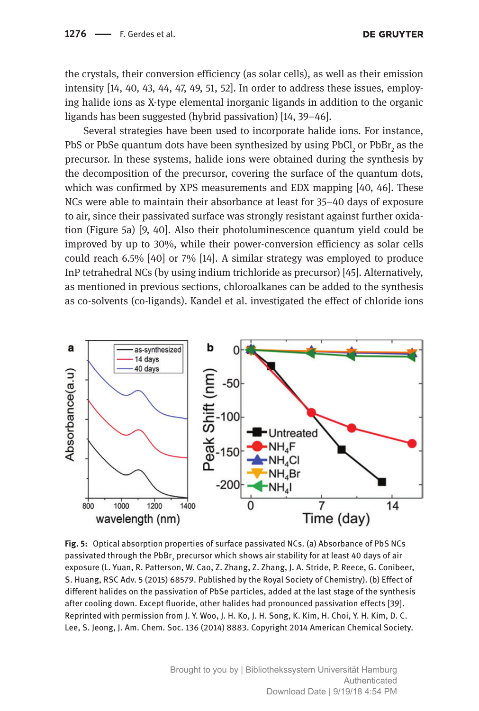the crystals, their conversion efficiency (as solar cells), as well as their emission intensity [14, 40, 43, 44, 47, 49, 51, 52]. In order to address these issues, employing halide ions as X-type elemental inorganic ligands in addition to the organic ligands has been suggested (hybrid passivation) [14, 39–46].

Several strategies have been used to incorporate halide ions. For instance, PbS or PbSe quantum dots have been synthesized by using PbCl<sub>2</sub> or PbBr<sub>2</sub> as the precursor. In these systems, halide ions were obtained during the synthesis by the decomposition of the precursor, covering the surface of the quantum dots, which was confirmed by XPS measurements and EDX mapping [40, 46]. These NCs were able to maintain their absorbance at least for 35–40 days of exposure to air, since their passivated surface was strongly resistant against further oxidation (Figure 5a) [9, 40]. Also their photoluminescence quantum yield could be improved by up to 30%, while their power-conversion efficiency as solar cells could reach 6.5% [40] or 7% [14]. A similar strategy was employed to produce InP tetrahedral NCs (by using indium trichloride as precursor) [45]. Alternatively, as mentioned in previous sections, chloroalkanes can be added to the synthesis as co-solvents (co-ligands). Kandel et al. investigated the effect of chloride ions



**Fig. 5:** Optical absorption properties of surface passivated NCs. (a) Absorbance of PbS NCs passivated through the PbBr<sub>2</sub> precursor which shows air stability for at least 40 days of air exposure (L. Yuan, R. Patterson, W. Cao, Z. Zhang, Z. Zhang, J. A. Stride, P. Reece, G. Conibeer, S. Huang, RSC Adv. 5 (2015) 68579. Published by the Royal Society of Chemistry). (b) Effect of different halides on the passivation of PbSe particles, added at the last stage of the synthesis after cooling down. Except fluoride, other halides had pronounced passivation effects [39]. Reprinted with permission from J. Y. Woo, J. H. Ko, J. H. Song, K. Kim, H. Choi, Y. H. Kim, D. C. Lee, S. Jeong, J. Am. Chem. Soc. 136 (2014) 8883. Copyright 2014 American Chemical Society.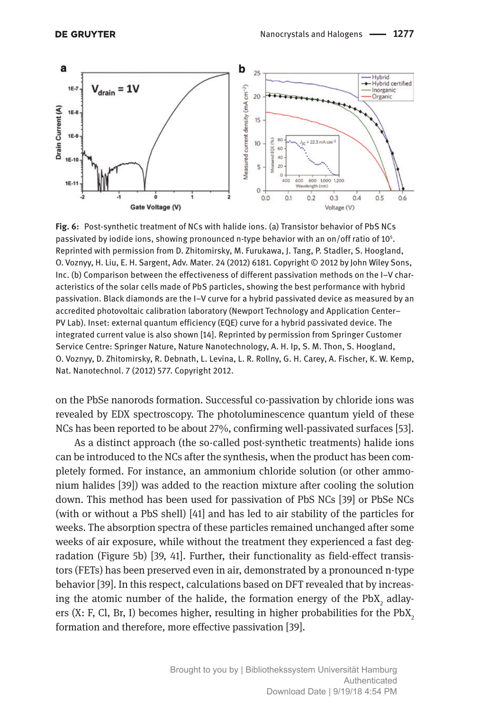

**Fig. 6:** Post-synthetic treatment of NCs with halide ions. (a) Transistor behavior of PbS NCs passivated by iodide ions, showing pronounced n-type behavior with an on/off ratio of 105 . Reprinted with permission from D. Zhitomirsky, M. Furukawa, J. Tang, P. Stadler, S. Hoogland, O. Voznyy, H. Liu, E. H. Sargent, Adv. Mater. 24 (2012) 6181. Copyright © 2012 by John Wiley Sons, Inc. (b) Comparison between the effectiveness of different passivation methods on the I–V characteristics of the solar cells made of PbS particles, showing the best performance with hybrid passivation. Black diamonds are the I–V curve for a hybrid passivated device as measured by an accredited photovoltaic calibration laboratory (Newport Technology and Application Center– PV Lab). Inset: external quantum efficiency (EQE) curve for a hybrid passivated device. The integrated current value is also shown [14]. Reprinted by permission from Springer Customer Service Centre: Springer Nature, Nature Nanotechnology, A. H. Ip, S. M. Thon, S. Hoogland, O. Voznyy, D. Zhitomirsky, R. Debnath, L. Levina, L. R. Rollny, G. H. Carey, A. Fischer, K. W. Kemp, Nat. Nanotechnol. 7 (2012) 577. Copyright 2012.

on the PbSe nanorods formation. Successful co-passivation by chloride ions was revealed by EDX spectroscopy. The photoluminescence quantum yield of these NCs has been reported to be about 27%, confirming well-passivated surfaces [53].

As a distinct approach (the so-called post-synthetic treatments) halide ions can be introduced to the NCs after the synthesis, when the product has been completely formed. For instance, an ammonium chloride solution (or other ammonium halides [39]) was added to the reaction mixture after cooling the solution down. This method has been used for passivation of PbS NCs [39] or PbSe NCs (with or without a PbS shell) [41] and has led to air stability of the particles for weeks. The absorption spectra of these particles remained unchanged after some weeks of air exposure, while without the treatment they experienced a fast degradation (Figure 5b) [39, 41]. Further, their functionality as field-effect transistors (FETs) has been preserved even in air, demonstrated by a pronounced n-type behavior [39]. In this respect, calculations based on DFT revealed that by increasing the atomic number of the halide, the formation energy of the  $PbX_2$  adlayers  $(X: F, Cl, Br, I)$  becomes higher, resulting in higher probabilities for the PbX. formation and therefore, more effective passivation [39].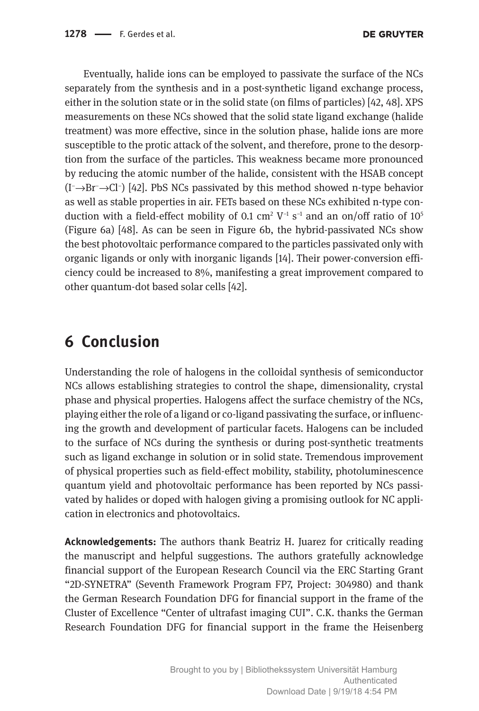Eventually, halide ions can be employed to passivate the surface of the NCs separately from the synthesis and in a post-synthetic ligand exchange process, either in the solution state or in the solid state (on films of particles) [42, 48]. XPS measurements on these NCs showed that the solid state ligand exchange (halide treatment) was more effective, since in the solution phase, halide ions are more susceptible to the protic attack of the solvent, and therefore, prone to the desorption from the surface of the particles. This weakness became more pronounced by reducing the atomic number of the halide, consistent with the HSAB concept (I−→Br−→Cl−) [42]. PbS NCs passivated by this method showed n-type behavior as well as stable properties in air. FETs based on these NCs exhibited n-type conduction with a field-effect mobility of 0.1  $\rm cm^2$  V<sup>-1</sup> s<sup>-1</sup> and an on/off ratio of 10<sup>5</sup> (Figure 6a) [48]. As can be seen in Figure 6b, the hybrid-passivated NCs show the best photovoltaic performance compared to the particles passivated only with organic ligands or only with inorganic ligands [14]. Their power-conversion efficiency could be increased to 8%, manifesting a great improvement compared to other quantum-dot based solar cells [42].

### **6 Conclusion**

Understanding the role of halogens in the colloidal synthesis of semiconductor NCs allows establishing strategies to control the shape, dimensionality, crystal phase and physical properties. Halogens affect the surface chemistry of the NCs, playing either the role of a ligand or co-ligand passivating the surface, or influencing the growth and development of particular facets. Halogens can be included to the surface of NCs during the synthesis or during post-synthetic treatments such as ligand exchange in solution or in solid state. Tremendous improvement of physical properties such as field-effect mobility, stability, photoluminescence quantum yield and photovoltaic performance has been reported by NCs passivated by halides or doped with halogen giving a promising outlook for NC application in electronics and photovoltaics.

**Acknowledgements:** The authors thank Beatriz H. Juarez for critically reading the manuscript and helpful suggestions. The authors gratefully acknowledge financial support of the European Research Council via the ERC Starting Grant "2D-SYNETRA" (Seventh Framework Program FP7, Project: 304980) and thank the German Research Foundation DFG for financial support in the frame of the Cluster of Excellence "Center of ultrafast imaging CUI". C.K. thanks the German Research Foundation DFG for financial support in the frame the Heisenberg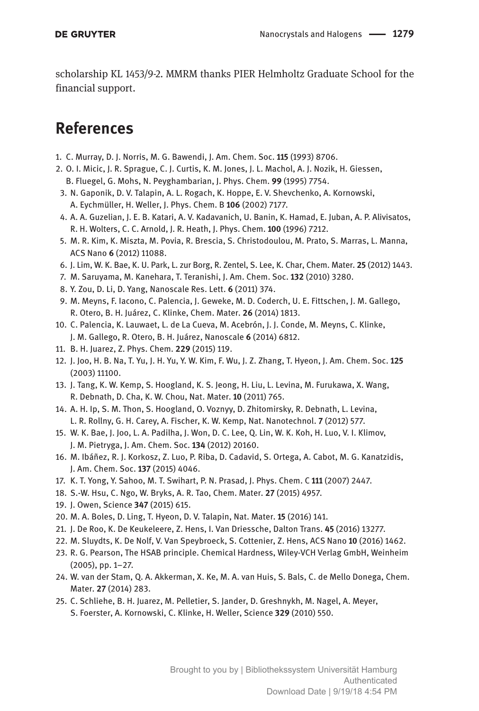scholarship KL 1453/9-2. MMRM thanks PIER Helmholtz Graduate School for the financial support.

### **References**

- 1. C. Murray, D. J. Norris, M. G. Bawendi, J. Am. Chem. Soc. **115** (1993) 8706.
- 2. O. I. Micic, J. R. Sprague, C. J. Curtis, K. M. Jones, J. L. Machol, A. J. Nozik, H. Giessen, B. Fluegel, G. Mohs, N. Peyghambarian, J. Phys. Chem. **99** (1995) 7754.
- 3. N. Gaponik, D. V. Talapin, A. L. Rogach, K. Hoppe, E. V. Shevchenko, A. Kornowski, A. Eychmüller, H. Weller, J. Phys. Chem. B **106** (2002) 7177.
- 4. A. A. Guzelian, J. E. B. Katari, A. V. Kadavanich, U. Banin, K. Hamad, E. Juban, A. P. Alivisatos, R. H. Wolters, C. C. Arnold, J. R. Heath, J. Phys. Chem. **100** (1996) 7212.
- 5. M. R. Kim, K. Miszta, M. Povia, R. Brescia, S. Christodoulou, M. Prato, S. Marras, L. Manna, ACS Nano **6** (2012) 11088.
- 6. J. Lim, W. K. Bae, K. U. Park, L. zur Borg, R. Zentel, S. Lee, K. Char, Chem. Mater. **25** (2012) 1443.
- 7. M. Saruyama, M. Kanehara, T. Teranishi, J. Am. Chem. Soc. **132** (2010) 3280.
- 8. Y. Zou, D. Li, D. Yang, Nanoscale Res. Lett. **6** (2011) 374.
- 9. M. Meyns, F. Iacono, C. Palencia, J. Geweke, M. D. Coderch, U. E. Fittschen, J. M. Gallego, R. Otero, B. H. Jua ́rez, C. Klinke, Chem. Mater. **26** (2014) 1813.
- 10. C. Palencia, K. Lauwaet, L. de La Cueva, M. Acebrón, J. J. Conde, M. Meyns, C. Klinke, J. M. Gallego, R. Otero, B. H. Juárez, Nanoscale **6** (2014) 6812.
- 11. B. H. Juarez, Z. Phys. Chem. **229** (2015) 119.
- 12. J. Joo, H. B. Na, T. Yu, J. H. Yu, Y. W. Kim, F. Wu, J. Z. Zhang, T. Hyeon, J. Am. Chem. Soc. **125** (2003) 11100.
- 13. J. Tang, K. W. Kemp, S. Hoogland, K. S. Jeong, H. Liu, L. Levina, M. Furukawa, X. Wang, R. Debnath, D. Cha, K. W. Chou, Nat. Mater. **10** (2011) 765.
- 14. A. H. Ip, S. M. Thon, S. Hoogland, O. Voznyy, D. Zhitomirsky, R. Debnath, L. Levina, L. R. Rollny, G. H. Carey, A. Fischer, K. W. Kemp, Nat. Nanotechnol. **7** (2012) 577.
- 15. W. K. Bae, J. Joo, L. A. Padilha, J. Won, D. C. Lee, Q. Lin, W. K. Koh, H. Luo, V. I. Klimov, J. M. Pietryga, J. Am. Chem. Soc. **134** (2012) 20160.
- 16. M. Ibáñez, R. J. Korkosz, Z. Luo, P. Riba, D. Cadavid, S. Ortega, A. Cabot, M. G. Kanatzidis, J. Am. Chem. Soc. **137** (2015) 4046.
- 17. K. T. Yong, Y. Sahoo, M. T. Swihart, P. N. Prasad, J. Phys. Chem. C **111** (2007) 2447.
- 18. S.-W. Hsu, C. Ngo, W. Bryks, A. R. Tao, Chem. Mater. **27** (2015) 4957.
- 19. J. Owen, Science **347** (2015) 615.
- 20. M. A. Boles, D. Ling, T. Hyeon, D. V. Talapin, Nat. Mater. **15** (2016) 141.
- 21. J. De Roo, K. De Keukeleere, Z. Hens, I. Van Driessche, Dalton Trans. **45** (2016) 13277.
- 22. M. Sluydts, K. De Nolf, V. Van Speybroeck, S. Cottenier, Z. Hens, ACS Nano **10** (2016) 1462.
- 23. R. G. Pearson, The HSAB principle. Chemical Hardness, Wiley-VCH Verlag GmbH, Weinheim (2005), pp. 1–27.
- 24. W. van der Stam, Q. A. Akkerman, X. Ke, M. A. van Huis, S. Bals, C. de Mello Donega, Chem. Mater. **27** (2014) 283.
- 25. C. Schliehe, B. H. Juarez, M. Pelletier, S. Jander, D. Greshnykh, M. Nagel, A. Meyer, S. Foerster, A. Kornowski, C. Klinke, H. Weller, Science **329** (2010) 550.